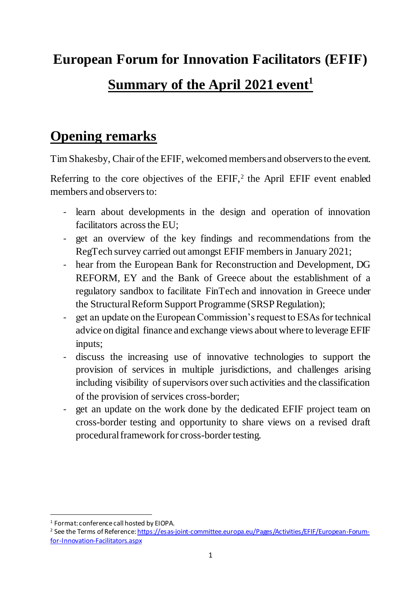# **European Forum for Innovation Facilitators (EFIF) Summary of the April 2021 event<sup>1</sup>**

#### **Opening remarks**

Tim Shakesby, Chair of the EFIF, welcomed members and observers to the event.

Referring to the core objectives of the  $EFIF<sub>i</sub><sup>2</sup>$  the April  $EFIF$  event enabled members and observers to:

- learn about developments in the design and operation of innovation facilitators across the EU;
- get an overview of the key findings and recommendations from the RegTech survey carried out amongst EFIF members in January 2021;
- hear from the European Bank for Reconstruction and Development, DG REFORM, EY and the Bank of Greece about the establishment of a regulatory sandbox to facilitate FinTech and innovation in Greece under the Structural Reform Support Programme (SRSP Regulation);
- get an update on the European Commission's request to ESAs for technical advice on digital finance and exchange views about where to leverage EFIF inputs;
- discuss the increasing use of innovative technologies to support the provision of services in multiple jurisdictions, and challenges arising including visibility of supervisors over such activities and the classification of the provision of services cross-border;
- get an update on the work done by the dedicated EFIF project team on cross-border testing and opportunity to share views on a revised draft procedural framework for cross-border testing.

-

<sup>1</sup> Format: conference call hosted by EIOPA.

<sup>&</sup>lt;sup>2</sup> See the Terms of Reference[: https://esas-joint-committee.europa.eu/Pages/Activities/EFIF/European-Forum](https://esas-joint-committee.europa.eu/Pages/Activities/EFIF/European-Forum-for-Innovation-Facilitators.aspx)[for-Innovation-Facilitators.aspx](https://esas-joint-committee.europa.eu/Pages/Activities/EFIF/European-Forum-for-Innovation-Facilitators.aspx)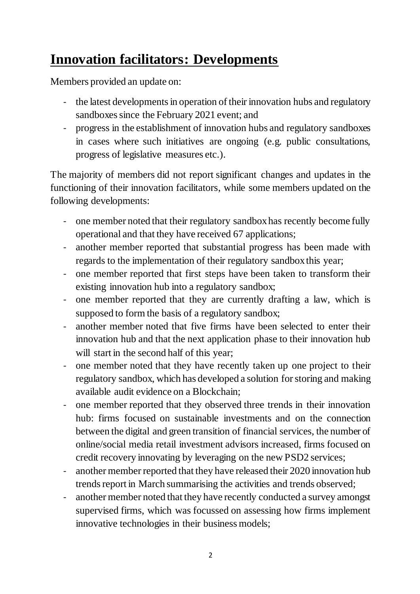### **Innovation facilitators: Developments**

Members provided an update on:

- the latest developments in operation of their innovation hubs and regulatory sandboxes since the February 2021 event; and
- progress in the establishment of innovation hubs and regulatory sandboxes in cases where such initiatives are ongoing (e.g. public consultations, progress of legislative measures etc.).

The majority of members did not report significant changes and updates in the functioning of their innovation facilitators, while some members updated on the following developments:

- one member noted that their regulatory sandbox has recently become fully operational and that they have received 67 applications;
- another member reported that substantial progress has been made with regards to the implementation of their regulatory sandbox this year;
- one member reported that first steps have been taken to transform their existing innovation hub into a regulatory sandbox;
- one member reported that they are currently drafting a law, which is supposed to form the basis of a regulatory sandbox;
- another member noted that five firms have been selected to enter their innovation hub and that the next application phase to their innovation hub will start in the second half of this year;
- one member noted that they have recently taken up one project to their regulatory sandbox, which has developed a solution for storing and making available audit evidence on a Blockchain;
- one member reported that they observed three trends in their innovation hub: firms focused on sustainable investments and on the connection between the digital and green transition of financial services, the number of online/social media retail investment advisors increased, firms focused on credit recovery innovating by leveraging on the new PSD2 services;
- another member reported that they have released their 2020 innovation hub trends report in March summarising the activities and trends observed;
- another member noted that they have recently conducted a survey amongst supervised firms, which was focussed on assessing how firms implement innovative technologies in their business models;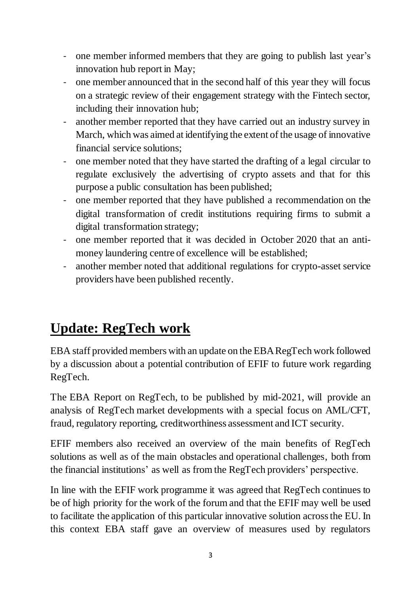- one member informed members that they are going to publish last year's innovation hub report in May;
- one member announced that in the second half of this year they will focus on a strategic review of their engagement strategy with the Fintech sector, including their innovation hub;
- another member reported that they have carried out an industry survey in March, which was aimed at identifying the extent of the usage of innovative financial service solutions;
- one member noted that they have started the drafting of a legal circular to regulate exclusively the advertising of crypto assets and that for this purpose a public consultation has been published;
- one member reported that they have published a recommendation on the digital transformation of credit institutions requiring firms to submit a digital transformation strategy;
- one member reported that it was decided in October 2020 that an antimoney laundering centre of excellence will be established;
- another member noted that additional regulations for crypto-asset service providers have been published recently.

### **Update: RegTech work**

EBA staff provided members with an update on the EBA RegTech work followed by a discussion about a potential contribution of EFIF to future work regarding RegTech.

The EBA Report on RegTech, to be published by mid-2021, will provide an analysis of RegTech market developments with a special focus on AML/CFT, fraud, regulatory reporting, creditworthiness assessment and ICT security.

EFIF members also received an overview of the main benefits of RegTech solutions as well as of the main obstacles and operational challenges, both from the financial institutions' as well as from the RegTech providers' perspective.

In line with the EFIF work programme it was agreed that RegTech continues to be of high priority for the work of the forum and that the EFIF may well be used to facilitate the application of this particular innovative solution across the EU. In this context EBA staff gave an overview of measures used by regulators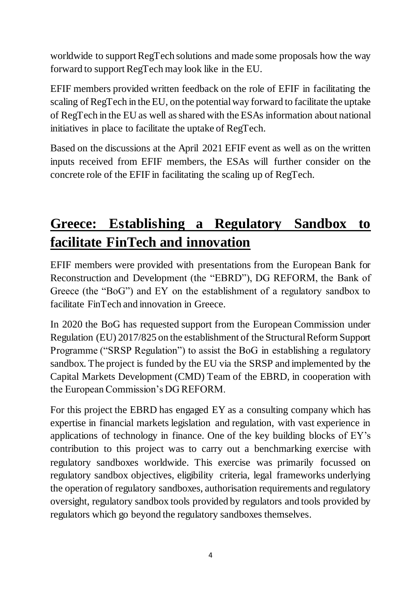worldwide to support RegTech solutions and made some proposals how the way forward to support RegTech may look like in the EU.

EFIF members provided written feedback on the role of EFIF in facilitating the scaling of RegTech in the EU, on the potential way forward to facilitate the uptake of RegTech in the EU as well as shared with the ESAs information about national initiatives in place to facilitate the uptake of RegTech.

Based on the discussions at the April 2021 EFIF event as well as on the written inputs received from EFIF members, the ESAs will further consider on the concrete role of the EFIF in facilitating the scaling up of RegTech.

## **Greece: Establishing a Regulatory Sandbox to facilitate FinTech and innovation**

EFIF members were provided with presentations from the European Bank for Reconstruction and Development (the "EBRD"), DG REFORM, the Bank of Greece (the "BoG") and EY on the establishment of a regulatory sandbox to facilitate FinTech and innovation in Greece.

In 2020 the BoG has requested support from the European Commission under Regulation (EU) 2017/825 on the establishment of the Structural Reform Support Programme ("SRSP Regulation") to assist the BoG in establishing a regulatory sandbox. The project is funded by the EU via the SRSP and implemented by the Capital Markets Development (CMD) Team of the EBRD, in cooperation with the European Commission's DG REFORM.

For this project the EBRD has engaged EY as a consulting company which has expertise in financial markets legislation and regulation, with vast experience in applications of technology in finance. One of the key building blocks of EY's contribution to this project was to carry out a benchmarking exercise with regulatory sandboxes worldwide. This exercise was primarily focussed on regulatory sandbox objectives, eligibility criteria, legal frameworks underlying the operation of regulatory sandboxes, authorisation requirements and regulatory oversight, regulatory sandbox tools provided by regulators and tools provided by regulators which go beyond the regulatory sandboxes themselves.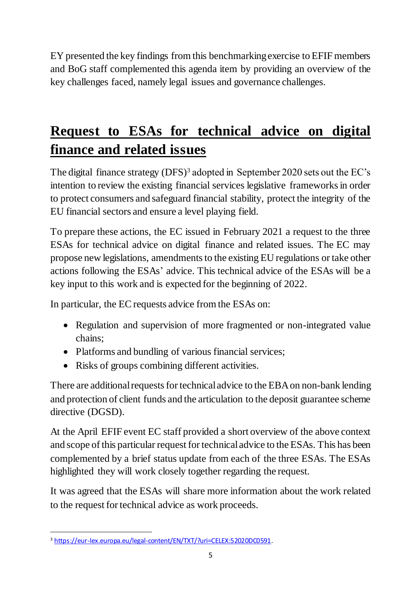EY presented the key findings from this benchmarking exercise to EFIF members and BoG staff complemented this agenda item by providing an overview of the key challenges faced, namely legal issues and governance challenges.

## **Request to ESAs for technical advice on digital finance and related issues**

The digital finance strategy  $(DFS)^3$  adopted in September 2020 sets out the EC's intention to review the existing financial services legislative frameworks in order to protect consumers and safeguard financial stability, protect the integrity of the EU financial sectors and ensure a level playing field.

To prepare these actions, the EC issued in February 2021 a request to the three ESAs for technical advice on digital finance and related issues. The EC may propose new legislations, amendments to the existing EU regulations or take other actions following the ESAs' advice. This technical advice of the ESAs will be a key input to this work and is expected for the beginning of 2022.

In particular, the EC requests advice from the ESAs on:

- Regulation and supervision of more fragmented or non-integrated value chains;
- Platforms and bundling of various financial services;
- Risks of groups combining different activities.

There are additional requests for technical advice to the EBA on non-bank lending and protection of client funds and the articulation to the deposit guarantee scheme directive (DGSD).

At the April EFIF event EC staff provided a short overview of the above context and scope of this particular request for technical advice to the ESAs. This has been complemented by a brief status update from each of the three ESAs. The ESAs highlighted they will work closely together regarding the request.

It was agreed that the ESAs will share more information about the work related to the request for technical advice as work proceeds.

<sup>1</sup> <sup>3</sup> <https://eur-lex.europa.eu/legal-content/EN/TXT/?uri=CELEX:52020DC0591>.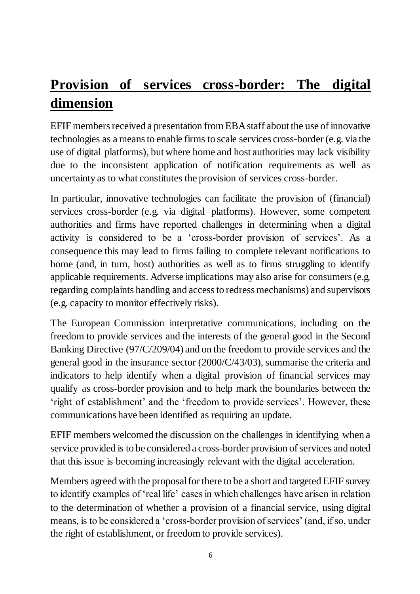### **Provision of services cross-border: The digital dimension**

EFIF members received a presentation from EBA staff about the use of innovative technologies as a means to enable firms to scale services cross-border (e.g. via the use of digital platforms), but where home and host authorities may lack visibility due to the inconsistent application of notification requirements as well as uncertainty as to what constitutes the provision of services cross-border.

In particular, innovative technologies can facilitate the provision of (financial) services cross-border (e.g. via digital platforms). However, some competent authorities and firms have reported challenges in determining when a digital activity is considered to be a 'cross-border provision of services'. As a consequence this may lead to firms failing to complete relevant notifications to home (and, in turn, host) authorities as well as to firms struggling to identify applicable requirements. Adverse implications may also arise for consumers (e.g. regarding complaints handling and access to redress mechanisms) and supervisors (e.g. capacity to monitor effectively risks).

The European Commission interpretative communications, including on the freedom to provide services and the interests of the general good in the Second Banking Directive (97/C/209/04) and on the freedom to provide services and the general good in the insurance sector (2000/C/43/03), summarise the criteria and indicators to help identify when a digital provision of financial services may qualify as cross-border provision and to help mark the boundaries between the 'right of establishment' and the 'freedom to provide services'. However, these communications have been identified as requiring an update.

EFIF members welcomed the discussion on the challenges in identifying when a service provided is to be considered a cross-border provision of services and noted that this issue is becoming increasingly relevant with the digital acceleration.

Members agreed with the proposal for there to be a short and targeted EFIF survey to identify examples of 'real life' cases in which challenges have arisen in relation to the determination of whether a provision of a financial service, using digital means, is to be considered a 'cross-border provision of services' (and, if so, under the right of establishment, or freedom to provide services).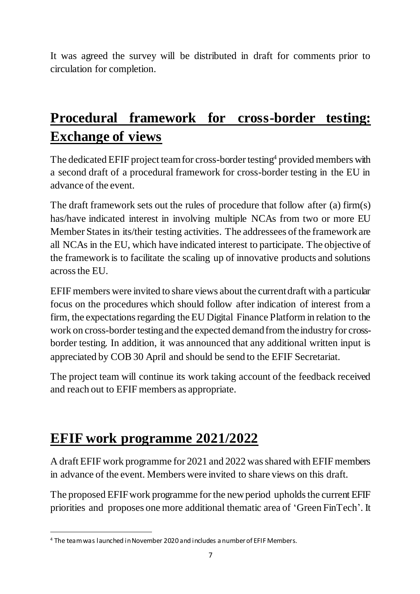It was agreed the survey will be distributed in draft for comments prior to circulation for completion.

## **Procedural framework for cross-border testing: Exchange of views**

The dedicated EFIF project team for cross-border testing<sup>4</sup> provided members with a second draft of a procedural framework for cross-border testing in the EU in advance of the event.

The draft framework sets out the rules of procedure that follow after (a) firm(s) has/have indicated interest in involving multiple NCAs from two or more EU Member States in its/their testing activities. The addressees of the framework are all NCAs in the EU, which have indicated interest to participate. The objective of the framework is to facilitate the scaling up of innovative products and solutions across the EU.

EFIF members were invited to share views about the current draft with a particular focus on the procedures which should follow after indication of interest from a firm, the expectations regarding the EU Digital Finance Platform in relation to the work on cross-border testing and the expected demand from the industry for crossborder testing. In addition, it was announced that any additional written input is appreciated by COB 30 April and should be send to the EFIF Secretariat.

The project team will continue its work taking account of the feedback received and reach out to EFIF members as appropriate.

#### **EFIF work programme 2021/2022**

A draft EFIF work programme for 2021 and 2022 was shared with EFIF members in advance of the event. Members were invited to share views on this draft.

The proposed EFIF work programme for the new period upholds the current EFIF priorities and proposes one more additional thematic area of 'Green FinTech'. It

<sup>1</sup> <sup>4</sup> The team was launched in November 2020 and includes a number of EFIF Members.